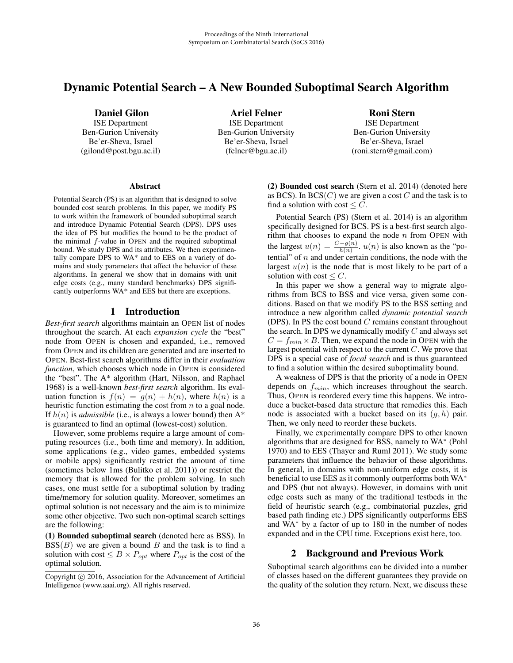# Dynamic Potential Search – A New Bounded Suboptimal Search Algorithm

Daniel Gilon ISE Department Ben-Gurion University Be'er-Sheva, Israel

(gilond@post.bgu.ac.il)

Ariel Felner ISE Department Ben-Gurion University Be'er-Sheva, Israel (felner@bgu.ac.il)

Roni Stern ISE Department Ben-Gurion University Be'er-Sheva, Israel (roni.stern@gmail.com)

#### **Abstract**

Potential Search (PS) is an algorithm that is designed to solve bounded cost search problems. In this paper, we modify PS to work within the framework of bounded suboptimal search and introduce Dynamic Potential Search (DPS). DPS uses the idea of PS but modifies the bound to be the product of the minimal f-value in OPEN and the required suboptimal bound. We study DPS and its attributes. We then experimentally compare DPS to WA\* and to EES on a variety of domains and study parameters that affect the behavior of these algorithms. In general we show that in domains with unit edge costs (e.g., many standard benchmarks) DPS significantly outperforms WA\* and EES but there are exceptions.

# 1 Introduction

*Best-first search* algorithms maintain an OPEN list of nodes throughout the search. At each *expansion cycle* the "best" node from OPEN is chosen and expanded, i.e., removed from OPEN and its children are generated and are inserted to OPEN. Best-first search algorithms differ in their *evaluation function*, which chooses which node in OPEN is considered the "best". The A\* algorithm (Hart, Nilsson, and Raphael 1968) is a well-known *best-first search* algorithm. Its evaluation function is  $f(n) = q(n) + h(n)$ , where  $h(n)$  is a heuristic function estimating the cost from  $n$  to a goal node. If  $h(n)$  is *admissible* (i.e., is always a lower bound) then  $A^*$ is guaranteed to find an optimal (lowest-cost) solution.

However, some problems require a large amount of computing resources (i.e., both time and memory). In addition, some applications (e.g., video games, embedded systems or mobile apps) significantly restrict the amount of time (sometimes below 1ms (Bulitko et al. 2011)) or restrict the memory that is allowed for the problem solving. In such cases, one must settle for a suboptimal solution by trading time/memory for solution quality. Moreover, sometimes an optimal solution is not necessary and the aim is to minimize some other objective. Two such non-optimal search settings are the following:

(1) Bounded suboptimal search (denoted here as BSS). In  $BSS(B)$  we are given a bound B and the task is to find a solution with cost  $\leq B \times P_{opt}$  where  $P_{opt}$  is the cost of the optimal solution.

(2) Bounded cost search (Stern et al. 2014) (denoted here as BCS). In  $BCS(C)$  we are given a cost C and the task is to find a solution with cost  $\leq C$ .

Potential Search (PS) (Stern et al. 2014) is an algorithm specifically designed for BCS. PS is a best-first search algorithm that chooses to expand the node  $n$  from OPEN with the largest  $u(n) = \frac{C - g(n)}{h(n)}$ .  $u(n)$  is also known as the "potential" of *n* and under certain conditions, the node with the largest  $u(n)$  is the node that is most likely to be part of a solution with cost  $\leq C$ .

In this paper we show a general way to migrate algorithms from BCS to BSS and vice versa, given some conditions. Based on that we modify PS to the BSS setting and introduce a new algorithm called *dynamic potential search* (DPS). In PS the cost bound  $C$  remains constant throughout the search. In DPS we dynamically modify  $C$  and always set  $C = f_{min} \times B$ . Then, we expand the node in OPEN with the largest potential with respect to the current C. We prove that DPS is a special case of *focal search* and is thus guaranteed to find a solution within the desired suboptimality bound.

A weakness of DPS is that the priority of a node in OPEN depends on  $f_{min}$ , which increases throughout the search. Thus, OPEN is reordered every time this happens. We introduce a bucket-based data structure that remedies this. Each node is associated with a bucket based on its  $(g, h)$  pair. Then, we only need to reorder these buckets.

Finally, we experimentally compare DPS to other known algorithms that are designed for BSS, namely to WA<sup>∗</sup> (Pohl 1970) and to EES (Thayer and Ruml 2011). We study some parameters that influence the behavior of these algorithms. In general, in domains with non-uniform edge costs, it is beneficial to use EES as it commonly outperforms both WA<sup>∗</sup> and DPS (but not always). However, in domains with unit edge costs such as many of the traditional testbeds in the field of heuristic search (e.g., combinatorial puzzles, grid based path finding etc.) DPS significantly outperforms EES and WA<sup>∗</sup> by a factor of up to 180 in the number of nodes expanded and in the CPU time. Exceptions exist here, too.

# 2 Background and Previous Work

Suboptimal search algorithms can be divided into a number of classes based on the different guarantees they provide on the quality of the solution they return. Next, we discuss these

Copyright  $\odot$  2016, Association for the Advancement of Artificial Intelligence (www.aaai.org). All rights reserved.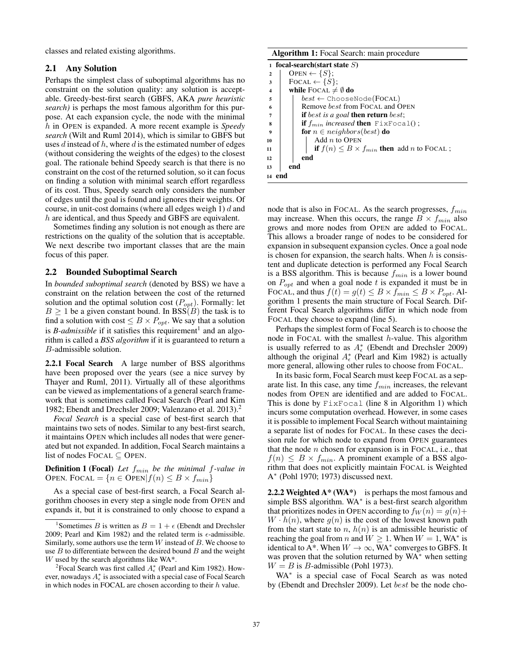classes and related existing algorithms.

# 2.1 Any Solution

Perhaps the simplest class of suboptimal algorithms has no constraint on the solution quality: any solution is acceptable. Greedy-best-first search (GBFS, AKA *pure heuristic search)* is perhaps the most famous algorithm for this purpose. At each expansion cycle, the node with the minimal h in OPEN is expanded. A more recent example is *Speedy search* (Wilt and Ruml 2014), which is similar to GBFS but uses  $d$  instead of  $h$ , where  $d$  is the estimated number of edges (without considering the weights of the edges) to the closest goal. The rationale behind Speedy search is that there is no constraint on the cost of the returned solution, so it can focus on finding a solution with minimal search effort regardless of its cost. Thus, Speedy search only considers the number of edges until the goal is found and ignores their weights. Of course, in unit-cost domains (where all edges weigh 1)  $d$  and h are identical, and thus Speedy and GBFS are equivalent.

Sometimes finding any solution is not enough as there are restrictions on the quality of the solution that is acceptable. We next describe two important classes that are the main focus of this paper.

# 2.2 Bounded Suboptimal Search

In *bounded suboptimal search* (denoted by BSS) we have a constraint on the relation between the cost of the returned solution and the optimal solution cost  $(P_{opt})$ . Formally: let  $B \ge 1$  be a given constant bound. In BSS(B) the task is to find a solution with cost  $\leq B \times P_{opt}$ . We say that a solution is *B-admissible* if it satisfies this requirement<sup>1</sup> and an algorithm is called a *BSS algorithm* if it is guaranteed to return a B-admissible solution.

2.2.1 Focal Search A large number of BSS algorithms have been proposed over the years (see a nice survey by Thayer and Ruml, 2011). Virtually all of these algorithms can be viewed as implementations of a general search framework that is sometimes called Focal Search (Pearl and Kim 1982; Ebendt and Drechsler 2009; Valenzano et al. 2013).2

*Focal Search* is a special case of best-first search that maintains two sets of nodes. Similar to any best-first search, it maintains OPEN which includes all nodes that were generated but not expanded. In addition, Focal Search maintains a list of nodes FOCAL  $\subseteq$  OPEN.

**Definition 1 (Focal)** Let  $f_{min}$  be the minimal f-value in OPEN. FOCAL =  ${n \in \text{Open}|f(n) \leq B \times f_{min}}$ 

As a special case of best-first search, a Focal Search algorithm chooses in every step a single node from OPEN and expands it, but it is constrained to only choose to expand a

| Algorithm 1: Focal Search: main procedure |  |  |  |
|-------------------------------------------|--|--|--|
|-------------------------------------------|--|--|--|

| 1                       | focal-search(start state $S$ )                                |
|-------------------------|---------------------------------------------------------------|
| $\mathbf{2}$            | OPEN $\leftarrow \{S\};$                                      |
| 3                       | FOCAL $\leftarrow \{S\};$                                     |
| $\overline{\mathbf{4}}$ | while FOCAL $\neq \emptyset$ do                               |
| 5                       | $best \leftarrow$ ChooseNode(FOCAL)                           |
| 6                       | Remove <i>best</i> from FOCAL and OPEN                        |
| 7                       | <b>if</b> best is a goal <b>then return</b> best;             |
| 8                       | <b>if</b> $f_{min}$ increased <b>then</b> $Fix$ Focal();      |
| 9                       | <b>for</b> $n \in$ <i>neighbors</i> ( <i>best</i> ) <b>do</b> |
| 10                      | Add $n$ to OPEN                                               |
| 11                      | if $f(n) \leq B \times f_{min}$ then add <i>n</i> to FOCAL;   |
| 12                      | end                                                           |
| 13                      | end                                                           |
| 14                      |                                                               |

node that is also in FOCAL. As the search progresses,  $f_{min}$ may increase. When this occurs, the range  $B \times f_{min}$  also grows and more nodes from OPEN are added to FOCAL. This allows a broader range of nodes to be considered for expansion in subsequent expansion cycles. Once a goal node is chosen for expansion, the search halts. When  $h$  is consistent and duplicate detection is performed any Focal Search is a BSS algorithm. This is because  $f_{min}$  is a lower bound on  $P_{opt}$  and when a goal node t is expanded it must be in FOCAL, and thus  $f(t) = g(t) \le B \times f_{min} \le B \times P_{opt}$ . Algorithm 1 presents the main structure of Focal Search. Different Focal Search algorithms differ in which node from FOCAL they choose to expand (line 5).

Perhaps the simplest form of Focal Search is to choose the node in FOCAL with the smallest  $h$ -value. This algorithm is usually referred to as  $A_{\epsilon}^*$  (Ebendt and Drechsler 2009) although the original  $A_{\epsilon}^*$  (Pearl and Kim 1982) is actually more general, allowing other rules to choose from FOCAL.

In its basic form, Focal Search must keep FOCAL as a separate list. In this case, any time  $f_{min}$  increases, the relevant nodes from OPEN are identified and are added to FOCAL. This is done by  $Fix$  Focal (line 8 in Algorithm 1) which incurs some computation overhead. However, in some cases it is possible to implement Focal Search without maintaining a separate list of nodes for FOCAL. In these cases the decision rule for which node to expand from OPEN guarantees that the node  $n$  chosen for expansion is in FOCAL, i.e., that  $f(n) \leq B \times f_{min}$ . A prominent example of a BSS algorithm that does not explicitly maintain FOCAL is Weighted A<sup>∗</sup> (Pohl 1970; 1973) discussed next.

**2.2.2 Weighted A\* (WA\*)** is perhaps the most famous and simple BSS algorithm. WA<sup>∗</sup> is a best-first search algorithm that prioritizes nodes in OPEN according to  $f_W(n) = g(n) +$  $W \cdot h(n)$ , where  $g(n)$  is the cost of the lowest known path from the start state to  $n, h(n)$  is an admissible heuristic of reaching the goal from n and  $W \ge 1$ . When  $W = 1$ , WA<sup>\*</sup> is identical to A\*. When  $W \to \infty$ , WA\* converges to GBFS. It was proven that the solution returned by WA\* when setting  $W = B$  is B-admissible (Pohl 1973).

WA<sup>\*</sup> is a special case of Focal Search as was noted by (Ebendt and Drechsler 2009). Let best be the node cho-

<sup>&</sup>lt;sup>1</sup>Sometimes *B* is written as  $B = 1 + \epsilon$  (Ebendt and Drechsler 2009; Pearl and Kim 1982) and the related term is  $\epsilon$ -admissible. Similarly, some authors use the term  $W$  instead of  $B$ . We choose to use  $B$  to differentiate between the desired bound  $B$  and the weight W used by the search algorithms like WA\*.

<sup>&</sup>lt;sup>2</sup> Focal Search was first called  $A_{\epsilon}^*$  (Pearl and Kim 1982). However, nowadays  $A_\epsilon^*$  is associated with a special case of Focal Search in which nodes in FOCAL are chosen according to their  $h$  value.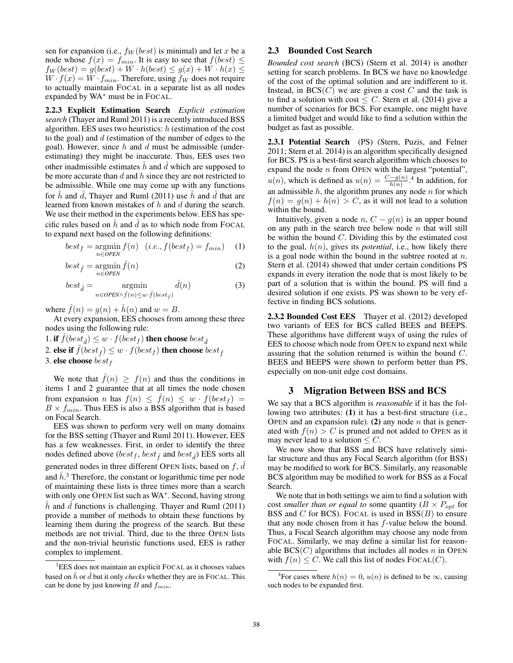sen for expansion (i.e.,  $f_W (best) is minimal) and let x be a$ node whose  $f(x) = f_{min}$ . It is easy to see that  $f(best) \le$  $f_W(best) = g(best) + W \cdot h(best) \leq g(x) + W \cdot h(x) \leq$  $W \cdot f(x) = W \cdot f_{min}$ . Therefore, using  $f_W$  does not require to actually maintain FOCAL in a separate list as all nodes expanded by WA<sup>∗</sup> must be in FOCAL.

2.2.3 Explicit Estimation Search *Explicit estimation search* (Thayer and Ruml 2011) is a recently introduced BSS algorithm. EES uses two heuristics:  $h$  (estimation of the cost to the goal) and  $d$  (estimation of the number of edges to the goal). However, since  $h$  and  $d$  must be admissible (underestimating) they might be inaccurate. Thus, EES uses two other inadmissible estimates  $\hat{h}$  and  $\hat{d}$  which are supposed to be more security than  $\hat{d}$  and  $\hat{h}$  since they are not restricted to be more accurate than  $d$  and  $h$  since they are not restricted to be admissible. While one may come up with any functions for h and d, Thayer and Ruml  $(2011)$  use h and d that are learned from known mistakes of h and d during the search. We use their method in the experiments below. EES has specific rules based on  $\hat{h}$  and  $\hat{d}$  as to which node from FOCAL<br>to arrand next based on the following definitions. to expand next based on the following definitions:

$$
best_f = \operatorname*{argmin}_{n \in OPEN} f(n) \quad (i.e., f(best_f) = f_{min}) \quad (1)
$$

$$
best_{\hat{f}} = \underset{n \in OPEN}{\text{argmin}} \hat{f}(n) \tag{2}
$$

$$
best_{\hat{d}} = \operatorname*{argmin}_{n \in OPEN \land \hat{f}(n) \le w \cdot \hat{f}(best_{\hat{f}})} \hat{d}(n) \tag{3}
$$

where  $\hat{f}(n) = g(n) + \hat{h}(n)$  and  $w = B$ .

At every expansion, EES chooses from among these three nodes using the following rule:

1. if  $\hat{f}(best_{\hat{d}}) \leq w \cdot f(best_f)$  then choose  $best_{\hat{d}}$ 2. else if  $f(best_{\hat{f}}) \leq w \cdot f(best_{f})$  then choose  $best_{\hat{f}}$ <br>3. else choose best s 3. else choose  $best_f$ 

We note that  $\hat{f}(n) \geq f(n)$  and thus the conditions in items 1 and 2 guarantee that at all times the node chosen from expansion n has  $f(n) \leq \hat{f}(n) \leq w \cdot f(best_f) =$  $B \times f_{min}$ . Thus EES is also a BSS algorithm that is based on Focal Search.

EES was shown to perform very well on many domains for the BSS setting (Thayer and Ruml 2011). However, EES has a few weaknesses. First, in order to identify the three nodes defined above  $(best_f, best_{\hat{f}}$  and  $best_{\hat{d}})$  EES sorts all generated nodes in three different OPEN lists, based on  $f$ ,  $\overrightarrow{d}$ and  $\hat{h}$ <sup>3</sup>. Therefore, the constant or logarithmic time per node<br>of mointaining these lists is three times more than a search of maintaining these lists is three times more than a search with only one OPEN list such as WA<sup>∗</sup>. Second, having strong  $\hbar$  and  $\bar{d}$  functions is challenging. Thayer and Ruml (2011) provide a number of methods to obtain these functions by learning them during the progress of the search. But these methods are not trivial. Third, due to the three OPEN lists and the non-trivial heuristic functions used, EES is rather complex to implement.

# 2.3 Bounded Cost Search

*Bounded cost search* (BCS) (Stern et al. 2014) is another setting for search problems. In BCS we have no knowledge of the cost of the optimal solution and are indifferent to it. Instead, in  $BCS(C)$  we are given a cost C and the task is to find a solution with cost  $\leq C$ . Stern et al. (2014) give a number of scenarios for BCS. For example, one might have a limited budget and would like to find a solution within the budget as fast as possible.

2.3.1 Potential Search (PS) (Stern, Puzis, and Felner 2011; Stern et al. 2014) is an algorithm specifically designed for BCS. PS is a best-first search algorithm which chooses to expand the node  $n$  from OPEN with the largest "potential",  $u(n)$ , which is defined as  $u(n) = \frac{C-g(n)}{h(n)}$ .<sup>4</sup> In addition, for an admissible  $h$ , the algorithm prunes any node  $n$  for which  $f(n) = q(n) + h(n) > C$ , as it will not lead to a solution within the bound.

Intuitively, given a node  $n, C - g(n)$  is an upper bound on any path in the search tree below node  $n$  that will still be within the bound  $C$ . Dividing this by the estimated cost to the goal,  $h(n)$ , gives its *potential*, i.e., how likely there is a goal node within the bound in the subtree rooted at  $n$ . Stern et al. (2014) showed that under certain conditions PS expands in every iteration the node that is most likely to be part of a solution that is within the bound. PS will find a desired solution if one exists. PS was shown to be very effective in finding BCS solutions.

2.3.2 Bounded Cost EES Thayer et al. (2012) developed two variants of EES for BCS called BEES and BEEPS. These algorithms have different ways of using the rules of EES to choose which node from OPEN to expand next while assuring that the solution returned is within the bound C. BEES and BEEPS were shown to perform better than PS, especially on non-unit edge cost domains.

# 3 Migration Between BSS and BCS

We say that a BCS algorithm is *reasonable* if it has the following two attributes: (1) it has a best-first structure (i.e., OPEN and an expansion rule). (2) any node  $n$  that is generated with  $f(n) > C$  is pruned and not added to OPEN as it may never lead to a solution  $\leq C$ .

We now show that BSS and BCS have relatively similar structure and thus any Focal Search algorithm (for BSS) may be modified to work for BCS. Similarly, any reasonable BCS algorithm may be modified to work for BSS as a Focal Search.

We note that in both settings we aim to find a solution with cost *smaller than or equal to* some quantity ( $B \times P_{opt}$  for BSS and C for BCS). FOCAL is used in  $BSS(B)$  to ensure that any node chosen from it has  $f$ -value below the bound. Thus, a Focal Search algorithm may choose any node from FOCAL. Similarly, we may define a similar list for reasonable  $BCS(C)$  algorithms that includes all nodes n in OPEN with  $f(n) \leq C$ . We call this list of nodes FOCAL(C).

<sup>&</sup>lt;sup>3</sup>EES does not maintain an explicit FOCAL as it chooses values based on  $\hat{h}$  or  $\hat{d}$  but it only *checks* whether they are in FOCAL. This can be done by just knowing  $B$  and  $f_{min}$ .

<sup>&</sup>lt;sup>4</sup>For cases where  $h(n) = 0$ ,  $u(n)$  is defined to be  $\infty$ , causing such nodes to be expanded first.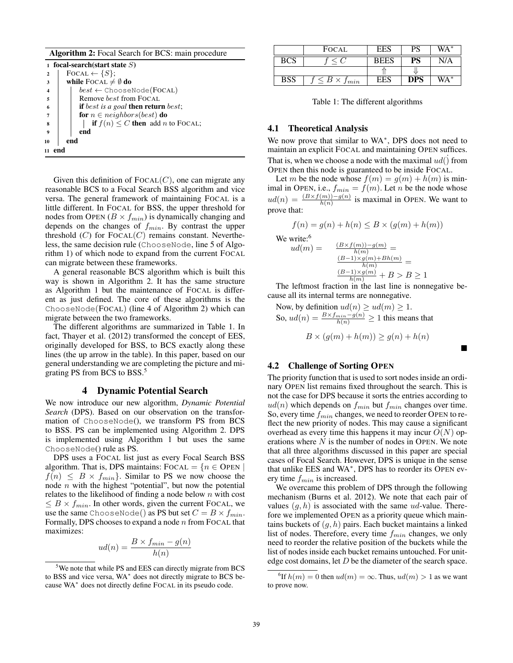Algorithm 2: Focal Search for BCS: main procedure

|                         | 1 focal-search(start state $S$ )             |
|-------------------------|----------------------------------------------|
| $\mathbf{2}$            | FOCAL $\leftarrow \{S\};$                    |
| 3                       | while FOCAL $\neq \emptyset$ do              |
| $\overline{\mathbf{4}}$ | $best \leftarrow$ ChooseNode(FOCAL)          |
| 5                       | Remove best from FOCAL                       |
| 6                       | if best is a goal then return best;          |
|                         | for $n \in neighbors(best)$ do               |
| 8                       | if $f(n) \leq C$ then add <i>n</i> to FOCAL; |
| 9                       | end                                          |
| 10                      | end                                          |
| 11                      |                                              |

Given this definition of  $FOCAL(C)$ , one can migrate any reasonable BCS to a Focal Search BSS algorithm and vice versa. The general framework of maintaining FOCAL is a little different. In FOCAL for BSS, the upper threshold for nodes from OPEN ( $B \times f_{min}$ ) is dynamically changing and depends on the changes of  $f_{min}$ . By contrast the upper threshold  $(C)$  for  $Focal(C)$  remains constant. Nevertheless, the same decision rule (ChooseNode, line 5 of Algorithm 1) of which node to expand from the current FOCAL can migrate between these frameworks.

A general reasonable BCS algorithm which is built this way is shown in Algorithm 2. It has the same structure as Algorithm 1 but the maintenance of FOCAL is different as just defined. The core of these algorithms is the ChooseNode(FOCAL) (line 4 of Algorithm 2) which can migrate between the two frameworks.

The different algorithms are summarized in Table 1. In fact, Thayer et al. (2012) transformed the concept of EES, originally developed for BSS, to BCS exactly along these lines (the up arrow in the table). In this paper, based on our general understanding we are completing the picture and migrating PS from BCS to BSS.<sup>5</sup>

# 4 Dynamic Potential Search

We now introduce our new algorithm, *Dynamic Potential Search* (DPS). Based on our observation on the transformation of ChooseNode(), we transform PS from BCS to BSS. PS can be implemented using Algorithm 2. DPS is implemented using Algorithm 1 but uses the same ChooseNode() rule as PS.

DPS uses a FOCAL list just as every Focal Search BSS algorithm. That is, DPS maintains:  $FocAL = {n \in$  OPEN  $f(n) \leq B \times f_{min}$ . Similar to PS we now choose the node  $n$  with the highest "potential", but now the potential relates to the likelihood of finding a node below  $n$  with cost  $\leq B \times f_{min}$ . In other words, given the current FOCAL, we use the same ChooseNode() as PS but set  $C = B \times f_{min}$ . Formally, DPS chooses to expand a node  $n$  from FOCAL that maximizes:

$$
ud(n) = \frac{B \times f_{min} - g(n)}{h(n)}
$$

|            | FOCAL                        | EES         | PS         | WA* |
|------------|------------------------------|-------------|------------|-----|
| <b>BCS</b> |                              | <b>BEES</b> | PS         | N/A |
|            |                              |             |            |     |
| <b>BSS</b> | $\leq B \times$<br>$J_{min}$ | $E_{\rm E}$ | <b>DPS</b> | WA* |

Table 1: The different algorithms

#### 4.1 Theoretical Analysis

We now prove that similar to WA∗, DPS does not need to maintain an explicit FOCAL and maintaining OPEN suffices. That is, when we choose a node with the maximal  $ud()$  from<br>OPEN then this node is guaranteed to be inside FOCAL. OPEN then this node is guaranteed to be inside FOCAL.

Let m be the node whose  $f(m) = g(m) + h(m)$  is minimal in OPEN, i.e.,  $f_{min} = f(m)$ . Let *n* be the node whose  $ud(n) = \frac{(B \times f(m)) - g(n)}{h(n)}$  is maximal in OPEN. We want to prove that:

$$
f(n) = g(n) + h(n) \le B \times (g(m) + h(m))
$$
  
We write:<sup>6</sup>  

$$
ud(m) = \frac{\frac{(B \times f(m)) - g(m)}{h(m)}}{\frac{(B-1) \times g(m) + Bh(m)}{h(m)}} = \frac{\frac{(B-1) \times g(m)}{h(m)} + B > B \ge 1}{\frac{(B-1) \times g(m)}{h(m)} + B > B \ge 1}
$$
  
The leftmost fraction in the last line is nonnegative be-

cause all its internal terms are nonnegative.

Now, by definition  $ud(n) \geq ud(m) \geq 1$ .<br>So  $ud(n) = B \times f_{min} - g(n) > 1$  this mass. So,  $ud(n) = \frac{B \times f_{min} - g(n)}{h(n)} \ge 1$  this means that

$$
B \times (g(m) + h(m)) \ge g(n) + h(n)
$$

-

### 4.2 Challenge of Sorting OPEN

The priority function that is used to sort nodes inside an ordinary OPEN list remains fixed throughout the search. This is not the case for DPS because it sorts the entries according to  $ud(n)$  which depends on  $f_{min}$  but  $f_{min}$  changes over time. So, every time  $f_{min}$  changes, we need to reorder OPEN to reflect the new priority of nodes. This may cause a significant overhead as every time this happens it may incur  $O(N)$  operations where  $N$  is the number of nodes in OPEN. We note that all three algorithms discussed in this paper are special cases of Focal Search. However, DPS is unique in the sense that unlike EES and WA∗, DPS has to reorder its OPEN every time  $f_{min}$  is increased.

We overcame this problem of DPS through the following mechanism (Burns et al. 2012). We note that each pair of values  $(g, h)$  is associated with the same ud-value. Therefore we implemented OPEN as a priority queue which maintains buckets of  $(g, h)$  pairs. Each bucket maintains a linked list of nodes. Therefore, every time  $f_{min}$  changes, we only need to reorder the relative position of the buckets while the list of nodes inside each bucket remains untouched. For unitedge cost domains, let  $D$  be the diameter of the search space.

<sup>&</sup>lt;sup>5</sup>We note that while PS and EES can directly migrate from BCS to BSS and vice versa, WA<sup>∗</sup> does not directly migrate to BCS because WA<sup>∗</sup> does not directly define FOCAL in its pseudo code.

<sup>&</sup>lt;sup>6</sup>If  $h(m) = 0$  then  $ud(m) = \infty$ . Thus,  $ud(m) > 1$  as we want to prove now.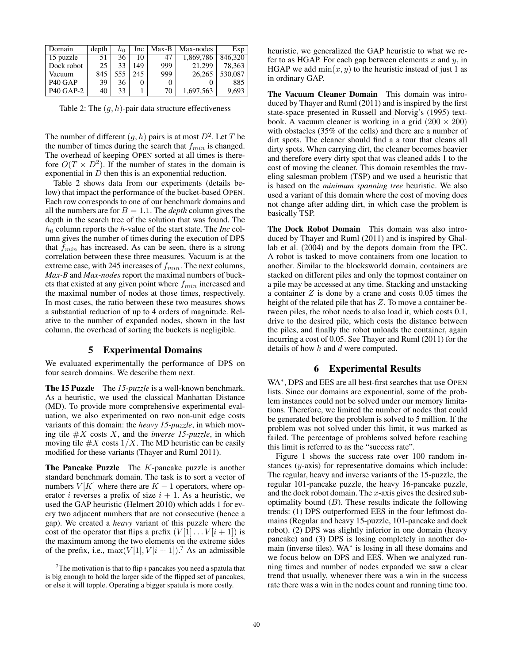| Domain                          | depth | ho  | Inc | Max-B | Max-nodes | Exp     |
|---------------------------------|-------|-----|-----|-------|-----------|---------|
| 15 puzzle                       | 51    | 36  | 10  | 47    | 1,869,786 | 846,320 |
| Dock robot                      | 25    | 33  | 149 | 999   | 21.299    | 78.363  |
| Vacuum                          | 845   | 555 | 245 | 999   | 26.265    | 530,087 |
| P <sub>40</sub> G <sub>AP</sub> | 39    | 36  | 0   | O     |           | 885     |
| <b>P40 GAP-2</b>                | 40    | 33  |     | 70    | 1,697,563 | 9.693   |

Table 2: The  $(g, h)$ -pair data structure effectiveness

The number of different  $(q, h)$  pairs is at most  $D<sup>2</sup>$ . Let T be the number of times during the search that  $f_{min}$  is changed. The overhead of keeping OPEN sorted at all times is therefore  $O(T \times D^2)$ . If the number of states in the domain is exponential in  $D$  then this is an exponential reduction.

Table 2 shows data from our experiments (details below) that impact the performance of the bucket-based OPEN. Each row corresponds to one of our benchmark domains and all the numbers are for  $B = 1.1$ . The *depth* column gives the depth in the search tree of the solution that was found. The  $h_0$  column reports the *h*-value of the start state. The *Inc* column gives the number of times during the execution of DPS that  $f_{min}$  has increased. As can be seen, there is a strong correlation between these three measures. Vacuum is at the extreme case, with 245 increases of  $f_{min}$ . The next columns, *Max-B* and *Max-nodes* report the maximal numbers of buckets that existed at any given point where  $f_{min}$  increased and the maximal number of nodes at those times, respectively. In most cases, the ratio between these two measures shows a substantial reduction of up to 4 orders of magnitude. Relative to the number of expanded nodes, shown in the last column, the overhead of sorting the buckets is negligible.

#### 5 Experimental Domains

We evaluated experimentally the performance of DPS on four search domains. We describe them next.

The 15 Puzzle The *15-puzzle* is a well-known benchmark. As a heuristic, we used the classical Manhattan Distance (MD). To provide more comprehensive experimental evaluation, we also experimented on two non-unit edge costs variants of this domain: the *heavy 15-puzzle*, in which moving tile #<sup>X</sup> costs <sup>X</sup>, and the *inverse 15-puzzle*, in which moving tile  $#X$  costs  $1/X$ . The MD heuristic can be easily modified for these variants (Thayer and Ruml 2011).

**The Pancake Puzzle** The  $K$ -pancake puzzle is another standard benchmark domain. The task is to sort a vector of numbers  $V[K]$  where there are  $K - 1$  operators, where operator *i* reverses a prefix of size  $i + 1$ . As a heuristic, we used the GAP heuristic (Helmert 2010) which adds 1 for every two adjacent numbers that are not consecutive (hence a gap). We created a *heavy* variant of this puzzle where the cost of the operator that flips a prefix  $(V[1] \dots V[i+1])$  is the maximum among the two elements on the extreme sides of the prefix, i.e.,  $\max(V[1], V[i+1])$ .<sup>7</sup> As an admissible

heuristic, we generalized the GAP heuristic to what we refer to as HGAP. For each gap between elements  $x$  and  $y$ , in HGAP we add  $min(x, y)$  to the heuristic instead of just 1 as in ordinary GAP.

The Vacuum Cleaner Domain This domain was introduced by Thayer and Ruml (2011) and is inspired by the first state-space presented in Russell and Norvig's (1995) textbook. A vacuum cleaner is working in a grid  $(200 \times 200)$ with obstacles (35% of the cells) and there are a number of dirt spots. The cleaner should find a a tour that cleans all dirty spots. When carrying dirt, the cleaner becomes heavier and therefore every dirty spot that was cleaned adds 1 to the cost of moving the cleaner. This domain resembles the traveling salesman problem (TSP) and we used a heuristic that is based on the *minimum spanning tree* heuristic. We also used a variant of this domain where the cost of moving does not change after adding dirt, in which case the problem is basically TSP.

The Dock Robot Domain This domain was also introduced by Thayer and Ruml (2011) and is inspired by Ghallab et al. (2004) and by the depots domain from the IPC. A robot is tasked to move containers from one location to another. Similar to the blocksworld domain, containers are stacked on different piles and only the topmost container on a pile may be accessed at any time. Stacking and unstacking a container  $Z$  is done by a crane and costs 0.05 times the height of the related pile that has Z. To move a container between piles, the robot needs to also load it, which costs 0.1, drive to the desired pile, which costs the distance between the piles, and finally the robot unloads the container, again incurring a cost of 0.05. See Thayer and Ruml (2011) for the details of how  $h$  and  $d$  were computed.

# 6 Experimental Results

WA<sup>\*</sup>, DPS and EES are all best-first searches that use OPEN lists. Since our domains are exponential, some of the problem instances could not be solved under our memory limitations. Therefore, we limited the number of nodes that could be generated before the problem is solved to 5 million. If the problem was not solved under this limit, it was marked as failed. The percentage of problems solved before reaching this limit is referred to as the "success rate".

Figure 1 shows the success rate over 100 random instances  $(y$ -axis) for representative domains which include: The regular, heavy and inverse variants of the 15-puzzle, the regular 101-pancake puzzle, the heavy 16-pancake puzzle, and the dock robot domain. The  $x$ -axis gives the desired suboptimality bound  $(B)$ . These results indicate the following trends: (1) DPS outperformed EES in the four leftmost domains (Regular and heavy 15-puzzle, 101-pancake and dock robot). (2) DPS was slightly inferior in one domain (heavy pancake) and (3) DPS is losing completely in another domain (inverse tiles). WA<sup>∗</sup> is losing in all these domains and we focus below on DPS and EES. When we analyzed running times and number of nodes expanded we saw a clear trend that usually, whenever there was a win in the success rate there was a win in the nodes count and running time too.

<sup>&</sup>lt;sup>7</sup>The motivation is that to flip i pancakes you need a spatula that is big enough to hold the larger side of the flipped set of pancakes, or else it will topple. Operating a bigger spatula is more costly.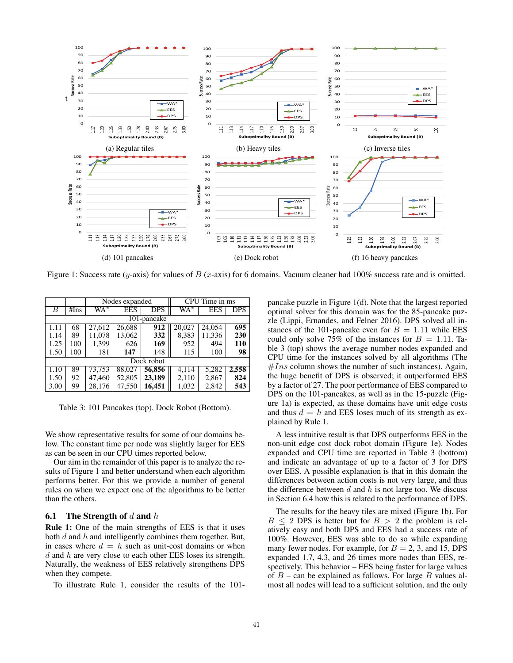

Figure 1: Success rate (y-axis) for values of B (x-axis) for 6 domains. Vacuum cleaner had 100% success rate and is omitted.

|             |            |        | Nodes expanded |            |                   | CPU Time in ms |            |  |  |  |
|-------------|------------|--------|----------------|------------|-------------------|----------------|------------|--|--|--|
| В           | #Ins       | $WA^*$ | <b>EES</b>     | <b>DPS</b> | $W\overline{A^*}$ | EES            | <b>DPS</b> |  |  |  |
| 101-pancake |            |        |                |            |                   |                |            |  |  |  |
| 1.11        | 68         | 27,612 | 26,688         | 912        | 20,027            | 24,054         | 695        |  |  |  |
| 1.14        | 89         | 11,078 | 13,062         | 332        | 8,383             | 11,336         | 230        |  |  |  |
| 1.25        | 100        | 1,399  | 626            | 169        | 952               | 494            | 110        |  |  |  |
| 1.50        | 100        | 181    | 147            | 148        | 115               | 100            | 98         |  |  |  |
|             | Dock robot |        |                |            |                   |                |            |  |  |  |
| 1.10        | 89         | 73,753 | 88,027         | 56,856     | 4,114             | 5,282          | 2,558      |  |  |  |
| 1.50        | 92         | 47,460 | 52,805         | 23,189     | 2,110             | 2,867          | 824        |  |  |  |
| 3.00        | 99         | 28,176 | 47,550         | 16,451     | 1,032             | 2,842          | 543        |  |  |  |

Table 3: 101 Pancakes (top). Dock Robot (Bottom).

We show representative results for some of our domains below. The constant time per node was slightly larger for EES as can be seen in our CPU times reported below.

Our aim in the remainder of this paper is to analyze the results of Figure 1 and better understand when each algorithm performs better. For this we provide a number of general rules on when we expect one of the algorithms to be better than the others.

#### **6.1** The Strength of d and h

Rule 1: One of the main strengths of EES is that it uses both  $d$  and  $h$  and intelligently combines them together. But, in cases where  $d = h$  such as unit-cost domains or when d and h are very close to each other EES loses its strength. Naturally, the weakness of EES relatively strengthens DPS when they compete.

To illustrate Rule 1, consider the results of the 101-

pancake puzzle in Figure 1(d). Note that the largest reported optimal solver for this domain was for the 85-pancake puzzle (Lippi, Ernandes, and Felner 2016). DPS solved all instances of the 101-pancake even for  $B = 1.11$  while EES could only solve 75% of the instances for  $B = 1.11$ . Table 3 (top) shows the average number nodes expanded and CPU time for the instances solved by all algorithms (The  $#Ins$  column shows the number of such instances). Again, the huge benefit of DPS is observed; it outperformed EES by a factor of 27. The poor performance of EES compared to DPS on the 101-pancakes, as well as in the 15-puzzle (Figure 1a) is expected, as these domains have unit edge costs and thus  $d = h$  and EES loses much of its strength as explained by Rule 1.

A less intuitive result is that DPS outperforms EES in the non-unit edge cost dock robot domain (Figure 1e). Nodes expanded and CPU time are reported in Table 3 (bottom) and indicate an advantage of up to a factor of 3 for DPS over EES. A possible explanation is that in this domain the differences between action costs is not very large, and thus the difference between  $d$  and  $h$  is not large too. We discuss in Section 6.4 how this is related to the performance of DPS.

The results for the heavy tiles are mixed (Figure 1b). For  $B \leq 2$  DPS is better but for  $B > 2$  the problem is relatively easy and both DPS and EES had a success rate of 100%. However, EES was able to do so while expanding many fewer nodes. For example, for  $B = 2, 3$ , and 15, DPS expanded 1.7, 4.3, and 26 times more nodes than EES, respectively. This behavior – EES being faster for large values of  $B$  – can be explained as follows. For large  $B$  values almost all nodes will lead to a sufficient solution, and the only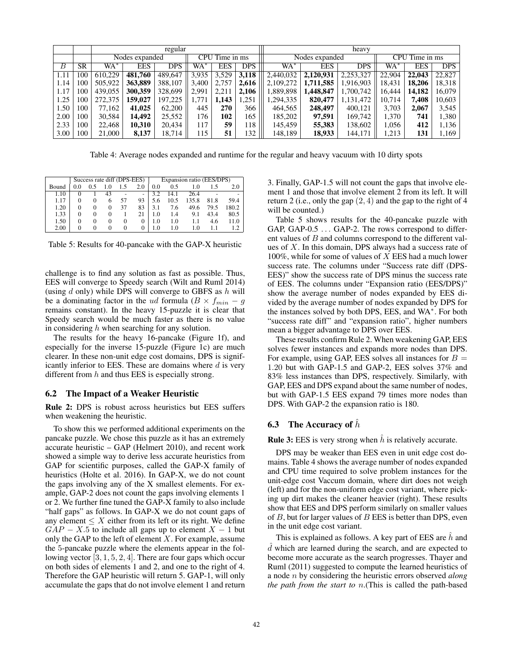|                  |           |                                  |            | regular    |       |            |            | heavy                            |            |            |        |            |            |
|------------------|-----------|----------------------------------|------------|------------|-------|------------|------------|----------------------------------|------------|------------|--------|------------|------------|
|                  |           | CPU Time in ms<br>Nodes expanded |            |            |       |            |            | CPU Time in ms<br>Nodes expanded |            |            |        |            |            |
| $\boldsymbol{B}$ | <b>SR</b> | WA*                              | <b>EES</b> | <b>DPS</b> | WA*   | <b>EES</b> | <b>DPS</b> | WA*                              | <b>EES</b> | <b>DPS</b> | WA*    | <b>EES</b> | <b>DPS</b> |
| 1.11             | 100       | 610.229                          | 481.760    | 489,647    | 3,935 | 3,529      | 3,118      | 2,440,032                        | 2,120,931  | 2,253,327  | 22,904 | 22,043     | 22,827     |
| 1.14             | 100       | 505,922                          | 363,889    | 388,107    | 3,400 | 2,757      | 2,616      | 2,109,272                        | 1,711,585  | 1,916,903  | 18,431 | 18,206     | 18,318     |
| 1.17             | 100       | 439,055                          | 300.359    | 328,699    | 2.991 | 2.211      | 2.106      | ,889,898                         | .448.847   | 1,700,742  | 16.444 | 14.182     | 16.079     |
| 1.25             | 100       | 272,375                          | 159.027    | 197,225    |       | 1.143      | .251       | ,294,335                         | 820,477    | 1,131,472  | 10.714 | 7,408      | 10,603     |
| 1.50             | 100       | 77.162                           | 41.025     | 62,200     | 445   | 270        | 366        | 464.565                          | 248,497    | 400.121    | 3.703  | 2.067      | 3,545      |
| 2.00             | 100       | 30,584                           | 14,492     | 25,552     | 176   | 102        | 165        | 185,202                          | 97,591     | 169.742    | 1,370  | 741        | 1,380      |
| 2.33             | 100       | 22.468                           | 10.310     | 20.434     | 117   | 59         | 118        | 145.459                          | 55,383     | 138,602    | 1.056  | 412        | 1,136      |
| 3.00             | 100       | 21,000                           | 8,137      | 18.714     | 15    | 51         | 132        | 148,189                          | 18,933     | 144.171    | 1.213  | 131        | 1,169      |

Table 4: Average nodes expanded and runtime for the regular and heavy vacuum with 10 dirty spots

|       |     |          |              |     | Success rate diff (DPS-EES) | Expansion ratio (EES/DPS) |      |       |      |       |
|-------|-----|----------|--------------|-----|-----------------------------|---------------------------|------|-------|------|-------|
| Bound | 0.0 | 0.5      | 1.0          | 1.5 | 2.0                         | 0.0                       | 0.5  | 1.0   |      | 2.0   |
| 1.10  |     |          | 43           |     | -                           | 3.2                       | 14.1 | 26.4  |      |       |
| 1.17  |     | $\theta$ | <sub>t</sub> | 57  | 93                          | 5.6                       | 10.5 | 135.8 | 81.8 | 59.4  |
| 1.20  |     |          |              | 37  | 83                          | 3.1                       | 7.6  | 49.6  | 79.5 | 180.2 |
| 1.33  |     |          |              |     | 21                          | 1.0                       | 1.4  | 9.1   | 43.4 | 80.5  |
| 1.50  |     | $\theta$ | $\theta$     | 0   |                             | 1.0                       | 1.0  |       | 4.6  | 11.0  |
| 2.00  |     |          |              |     |                             | 1.0                       | 1.0  | l.O   |      |       |

Table 5: Results for 40-pancake with the GAP-X heuristic

challenge is to find any solution as fast as possible. Thus, EES will converge to Speedy search (Wilt and Ruml 2014) (using  $d$  only) while DPS will converge to GBFS as  $h$  will be a dominating factor in the ud formula ( $B \times f_{min} - g$ remains constant). In the heavy 15-puzzle it is clear that Speedy search would be much faster as there is no value in considering  $h$  when searching for any solution.

The results for the heavy 16-pancake (Figure 1f), and especially for the inverse 15-puzzle (Figure 1c) are much clearer. In these non-unit edge cost domains, DPS is significantly inferior to EES. These are domains where  $d$  is very different from  $h$  and thus EES is especially strong.

#### 6.2 The Impact of a Weaker Heuristic

Rule 2: DPS is robust across heuristics but EES suffers when weakening the heuristic.

To show this we performed additional experiments on the pancake puzzle. We chose this puzzle as it has an extremely accurate heuristic – GAP (Helmert 2010), and recent work showed a simple way to derive less accurate heuristics from GAP for scientific purposes, called the GAP-X family of heuristics (Holte et al. 2016). In GAP-X, we do not count the gaps involving any of the X smallest elements. For example, GAP-2 does not count the gaps involving elements 1 or 2. We further fine tuned the GAP-X family to also include "half gaps" as follows. In GAP-X we do not count gaps of any element  $\leq X$  either from its left or its right. We define  $GAP - X.5$  to include all gaps up to element  $X - 1$  but only the GAP to the left of element  $X$ . For example, assume the 5-pancake puzzle where the elements appear in the following vector [3, 1, 5, 2, 4]. There are four gaps which occur on both sides of elements 1 and 2, and one to the right of 4. Therefore the GAP heuristic will return 5. GAP-1, will only accumulate the gaps that do not involve element 1 and return 3. Finally, GAP-1.5 will not count the gaps that involve element 1 and those that involve element 2 from its left. It will return 2 (i.e., only the gap  $(2, 4)$  and the gap to the right of 4 will be counted.)

Table 5 shows results for the 40-pancake puzzle with GAP, GAP-0.5 ... GAP-2. The rows correspond to different values of B and columns correspond to the different values of  $X$ . In this domain, DPS always had a success rate of 100%, while for some of values of  $X$  EES had a much lower success rate. The columns under "Success rate diff (DPS-EES)" show the success rate of DPS minus the success rate of EES. The columns under "Expansion ratio (EES/DPS)" show the average number of nodes expanded by EES divided by the average number of nodes expanded by DPS for the instances solved by both DPS, EES, and WA∗. For both "success rate diff" and "expansion ratio", higher numbers mean a bigger advantage to DPS over EES.

These results confirm Rule 2. When weakening GAP, EES solves fewer instances and expands more nodes than DPS. For example, using GAP, EES solves all instances for  $B =$ 1.20 but with GAP-1.5 and GAP-2, EES solves 37% and 83% less instances than DPS, respectively. Similarly, with GAP, EES and DPS expand about the same number of nodes, but with GAP-1.5 EES expand 79 times more nodes than DPS. With GAP-2 the expansion ratio is 180.

# **6.3** The Accuracy of  $\hat{h}$

**Rule 3:** EES is very strong when  $\hat{h}$  is relatively accurate.

DPS may be weaker than EES even in unit edge cost domains. Table 4 shows the average number of nodes expanded and CPU time required to solve problem instances for the unit-edge cost Vaccum domain, where dirt does not weigh (left) and for the non-uniform edge cost variant, where picking up dirt makes the cleaner heavier (right). These results show that EES and DPS perform similarly on smaller values of  $B$ , but for larger values of  $B$  EES is better than DPS, even in the unit edge cost variant.

This is explained as follows. A key part of EES are  $\hat{h}$  and a which are realided uning the search, and are expected to become more accurate as the search progresses. Thayer and  $\hat{d}$  which are learned during the search, and are expected to Ruml (2011) suggested to compute the learned heuristics of a node n by considering the heuristic errors observed *along the path from the start to* n.(This is called the path-based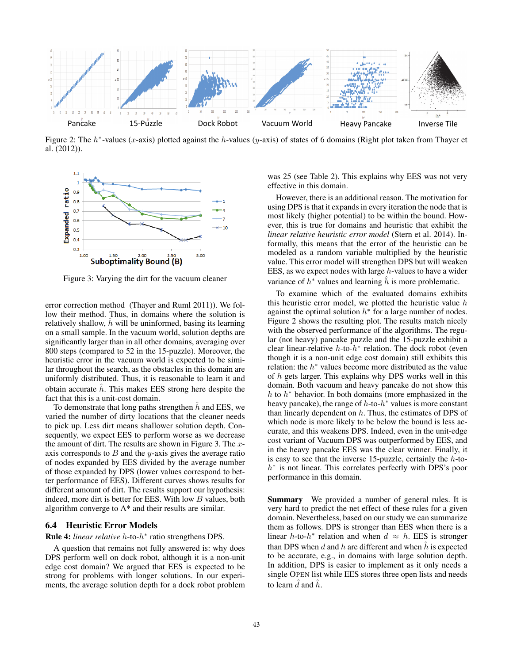

Figure 2: The  $h^*$ -values (x-axis) plotted against the h-values (y-axis) of states of 6 domains (Right plot taken from Thayer et al. (2012)).



Figure 3: Varying the dirt for the vacuum cleaner

error correction method (Thayer and Ruml 2011)). We follow their method. Thus, in domains where the solution is relatively shallow,  $\hat{h}$  will be uninformed, basing its learning on a small sample. In the vacuum world, solution depths are significantly larger than in all other domains, averaging over 800 steps (compared to 52 in the 15-puzzle). Moreover, the heuristic error in the vacuum world is expected to be similar throughout the search, as the obstacles in this domain are uniformly distributed. Thus, it is reasonable to learn it and obtain accurate  $\hat{h}$ . This makes EES strong here despite the fact that this is a unit-cost domain.

To demonstrate that long paths strengthen  $h$  and EES, we varied the number of dirty locations that the cleaner needs to pick up. Less dirt means shallower solution depth. Consequently, we expect EES to perform worse as we decrease the amount of dirt. The results are shown in Figure 3. The  $x$ axis corresponds to  $B$  and the y-axis gives the average ratio of nodes expanded by EES divided by the average number of those expanded by DPS (lower values correspond to better performance of EES). Different curves shows results for different amount of dirt. The results support our hypothesis: indeed, more dirt is better for EES. With low B values, both algorithm converge to A\* and their results are similar.

#### 6.4 Heuristic Error Models

#### Rule 4: *linear relative* h-to-h<sup>∗</sup> ratio strengthens DPS.

A question that remains not fully answered is: why does DPS perform well on dock robot, although it is a non-unit edge cost domain? We argued that EES is expected to be strong for problems with longer solutions. In our experiments, the average solution depth for a dock robot problem

was 25 (see Table 2). This explains why EES was not very effective in this domain.

However, there is an additional reason. The motivation for using DPS is that it expands in every iteration the node that is most likely (higher potential) to be within the bound. However, this is true for domains and heuristic that exhibit the *linear relative heuristic error model* (Stern et al. 2014). Informally, this means that the error of the heuristic can be modeled as a random variable multiplied by the heuristic value. This error model will strengthen DPS but will weaken EES, as we expect nodes with large  $h$ -values to have a wider variance of  $h^*$  values and learning  $\hat{h}$  is more problematic.

To examine which of the evaluated domains exhibits this heuristic error model, we plotted the heuristic value  $h$ against the optimal solution  $h^*$  for a large number of nodes. Figure 2 shows the resulting plot. The results match nicely with the observed performance of the algorithms. The regular (not heavy) pancake puzzle and the 15-puzzle exhibit a clear linear-relative  $h$ -to- $h^*$  relation. The dock robot (even though it is a non-unit edge cost domain) still exhibits this relation: the  $h<sup>*</sup>$  values become more distributed as the value of h gets larger. This explains why DPS works well in this domain. Both vacuum and heavy pancake do not show this h to  $h^*$  behavior. In both domains (more emphasized in the heavy pancake), the range of  $h$ -to- $h^*$  values is more constant than linearly dependent on  $h$ . Thus, the estimates of DPS of which node is more likely to be below the bound is less accurate, and this weakens DPS. Indeed, even in the unit-edge cost variant of Vacuum DPS was outperformed by EES, and in the heavy pancake EES was the clear winner. Finally, it is easy to see that the inverse 15-puzzle, certainly the  $h$ -toh<sup>∗</sup> is not linear. This correlates perfectly with DPS's poor performance in this domain.

Summary We provided a number of general rules. It is very hard to predict the net effect of these rules for a given domain. Nevertheless, based on our study we can summarize them as follows. DPS is stronger than EES when there is a linear h-to-h<sup>\*</sup> relation and when  $d \approx h$ . EES is stronger than DPS when d and h are different and when  $\hat{h}$  is expected to be accurate, e.g., in domains with large solution depth. In addition, DPS is easier to implement as it only needs a single OPEN list while EES stores three open lists and needs to learn  $\tilde{d}$  and  $\tilde{h}$ .